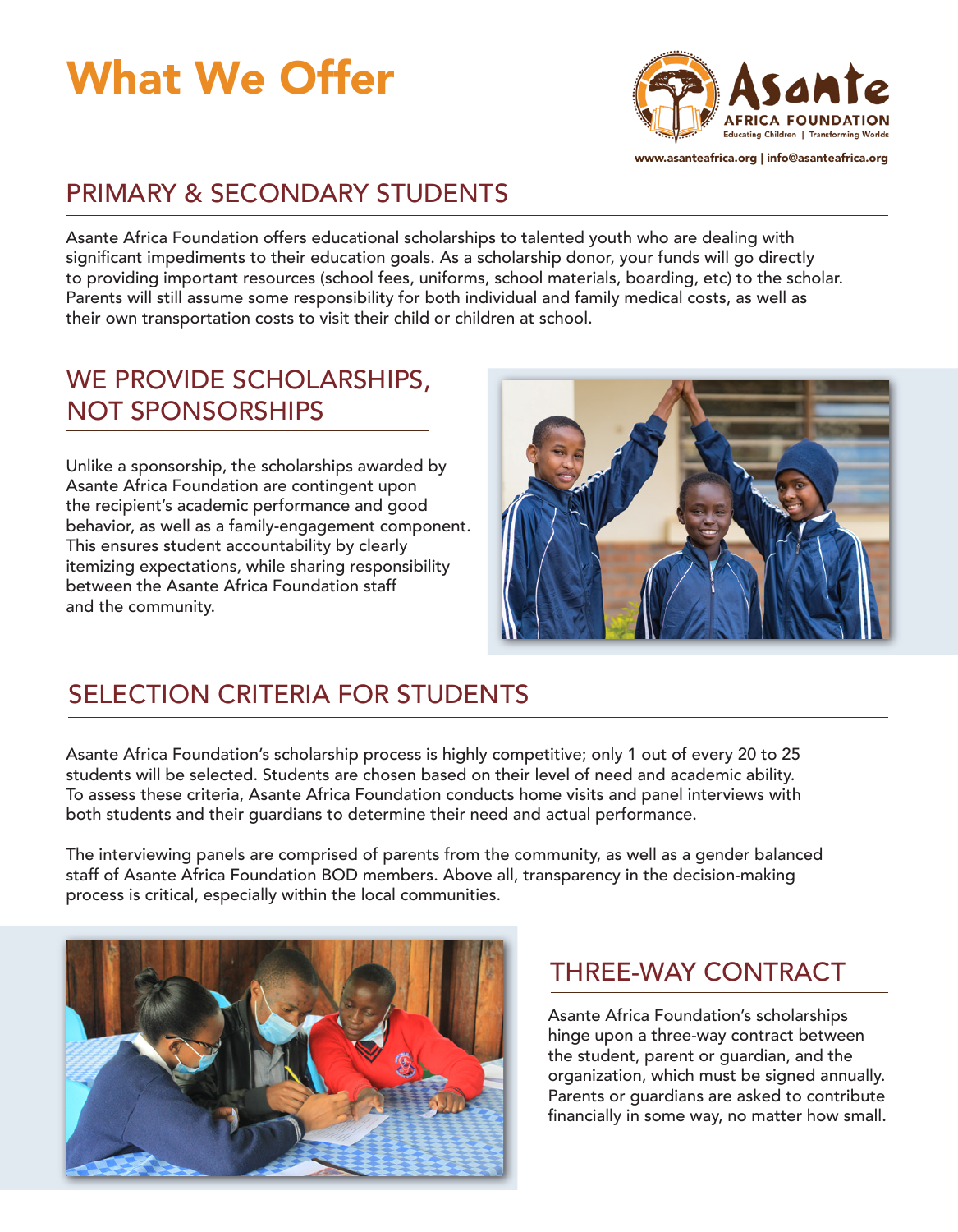# What We Offer



www.asanteafrica.org | info@asanteafrica.org

# PRIMARY & SECONDARY STUDENTS

Asante Africa Foundation offers educational scholarships to talented youth who are dealing with significant impediments to their education goals. As a scholarship donor, your funds will go directly to providing important resources (school fees, uniforms, school materials, boarding, etc) to the scholar. Parents will still assume some responsibility for both individual and family medical costs, as well as their own transportation costs to visit their child or children at school.

#### WE PROVIDE SCHOLARSHIPS, NOT SPONSORSHIPS

Unlike a sponsorship, the scholarships awarded by Asante Africa Foundation are contingent upon the recipient's academic performance and good behavior, as well as a family-engagement component. This ensures student accountability by clearly itemizing expectations, while sharing responsibility between the Asante Africa Foundation staff and the community.



# SELECTION CRITERIA FOR STUDENTS

Asante Africa Foundation's scholarship process is highly competitive; only 1 out of every 20 to 25 students will be selected. Students are chosen based on their level of need and academic ability. To assess these criteria, Asante Africa Foundation conducts home visits and panel interviews with both students and their guardians to determine their need and actual performance.

The interviewing panels are comprised of parents from the community, as well as a gender balanced staff of Asante Africa Foundation BOD members. Above all, transparency in the decision-making process is critical, especially within the local communities.



#### THREE-WAY CONTRACT

Asante Africa Foundation's scholarships hinge upon a three-way contract between the student, parent or guardian, and the organization, which must be signed annually. Parents or guardians are asked to contribute financially in some way, no matter how small.